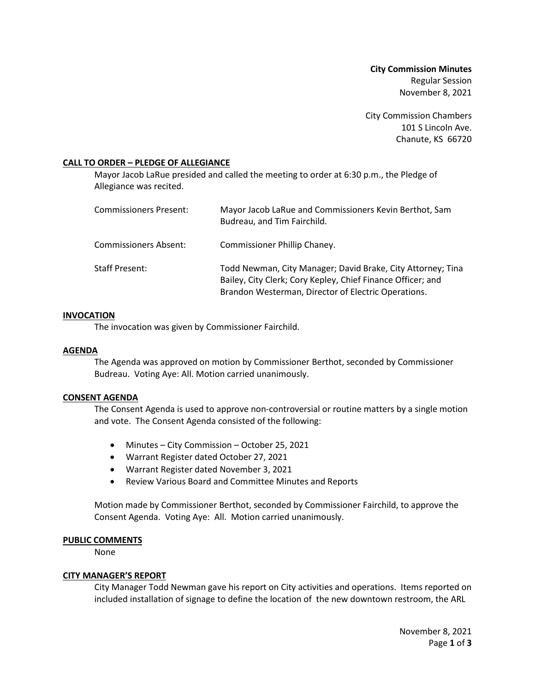**City Commission Minutes** Regular Session November 8, 2021

City Commission Chambers 101 S Lincoln Ave. Chanute, KS 66720

### **CALL TO ORDER – PLEDGE OF ALLEGIANCE**

Mayor Jacob LaRue presided and called the meeting to order at 6:30 p.m., the Pledge of Allegiance was recited.

| Commissioners Present: | Mayor Jacob LaRue and Commissioners Kevin Berthot, Sam<br>Budreau, and Tim Fairchild.                                                                                             |
|------------------------|-----------------------------------------------------------------------------------------------------------------------------------------------------------------------------------|
| Commissioners Absent:  | Commissioner Phillip Chaney.                                                                                                                                                      |
| <b>Staff Present:</b>  | Todd Newman, City Manager; David Brake, City Attorney; Tina<br>Bailey, City Clerk; Cory Kepley, Chief Finance Officer; and<br>Brandon Westerman, Director of Electric Operations. |

### **INVOCATION**

The invocation was given by Commissioner Fairchild.

### **AGENDA**

The Agenda was approved on motion by Commissioner Berthot, seconded by Commissioner Budreau. Voting Aye: All. Motion carried unanimously.

### **CONSENT AGENDA**

The Consent Agenda is used to approve non-controversial or routine matters by a single motion and vote. The Consent Agenda consisted of the following:

- Minutes City Commission October 25, 2021
- Warrant Register dated October 27, 2021
- Warrant Register dated November 3, 2021
- Review Various Board and Committee Minutes and Reports

Motion made by Commissioner Berthot, seconded by Commissioner Fairchild, to approve the Consent Agenda. Voting Aye: All. Motion carried unanimously.

# **PUBLIC COMMENTS**

None

### **CITY MANAGER'S REPORT**

City Manager Todd Newman gave his report on City activities and operations. Items reported on included installation of signage to define the location of the new downtown restroom, the ARL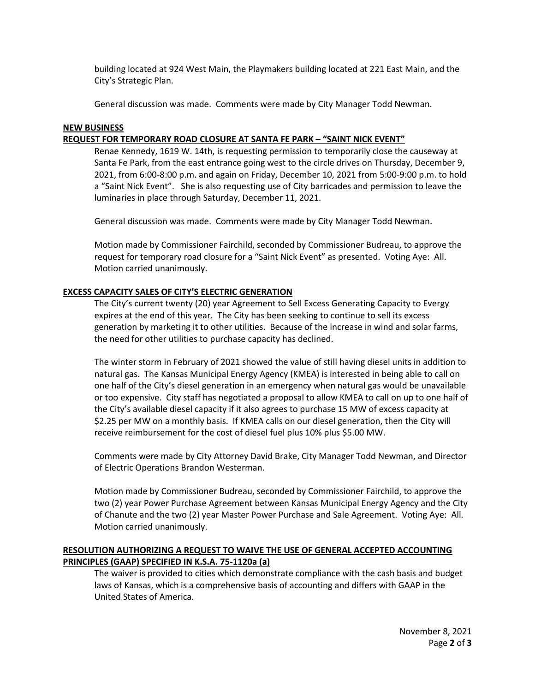building located at 924 West Main, the Playmakers building located at 221 East Main, and the City's Strategic Plan.

General discussion was made. Comments were made by City Manager Todd Newman.

## **NEW BUSINESS**

## **REQUEST FOR TEMPORARY ROAD CLOSURE AT SANTA FE PARK – "SAINT NICK EVENT"**

Renae Kennedy, 1619 W. 14th, is requesting permission to temporarily close the causeway at Santa Fe Park, from the east entrance going west to the circle drives on Thursday, December 9, 2021, from 6:00-8:00 p.m. and again on Friday, December 10, 2021 from 5:00-9:00 p.m. to hold a "Saint Nick Event". She is also requesting use of City barricades and permission to leave the luminaries in place through Saturday, December 11, 2021.

General discussion was made. Comments were made by City Manager Todd Newman.

Motion made by Commissioner Fairchild, seconded by Commissioner Budreau, to approve the request for temporary road closure for a "Saint Nick Event" as presented. Voting Aye: All. Motion carried unanimously.

# **EXCESS CAPACITY SALES OF CITY'S ELECTRIC GENERATION**

The City's current twenty (20) year Agreement to Sell Excess Generating Capacity to Evergy expires at the end of this year. The City has been seeking to continue to sell its excess generation by marketing it to other utilities. Because of the increase in wind and solar farms, the need for other utilities to purchase capacity has declined.

The winter storm in February of 2021 showed the value of still having diesel units in addition to natural gas. The Kansas Municipal Energy Agency (KMEA) is interested in being able to call on one half of the City's diesel generation in an emergency when natural gas would be unavailable or too expensive. City staff has negotiated a proposal to allow KMEA to call on up to one half of the City's available diesel capacity if it also agrees to purchase 15 MW of excess capacity at \$2.25 per MW on a monthly basis. If KMEA calls on our diesel generation, then the City will receive reimbursement for the cost of diesel fuel plus 10% plus \$5.00 MW.

Comments were made by City Attorney David Brake, City Manager Todd Newman, and Director of Electric Operations Brandon Westerman.

Motion made by Commissioner Budreau, seconded by Commissioner Fairchild, to approve the two (2) year Power Purchase Agreement between Kansas Municipal Energy Agency and the City of Chanute and the two (2) year Master Power Purchase and Sale Agreement. Voting Aye: All. Motion carried unanimously.

# **RESOLUTION AUTHORIZING A REQUEST TO WAIVE THE USE OF GENERAL ACCEPTED ACCOUNTING PRINCIPLES (GAAP) SPECIFIED IN K.S.A. 75-1120a (a)**

The waiver is provided to cities which demonstrate compliance with the cash basis and budget laws of Kansas, which is a comprehensive basis of accounting and differs with GAAP in the United States of America.